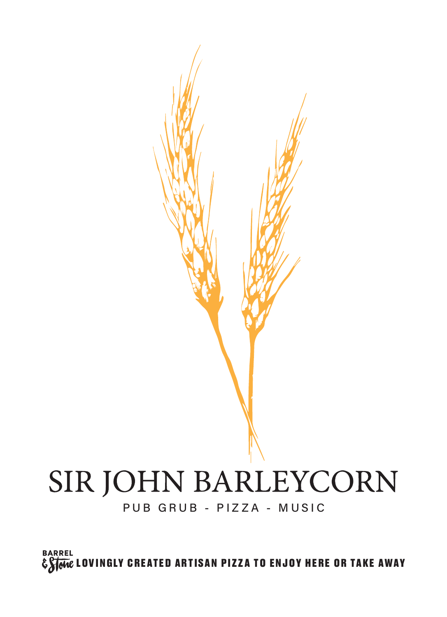**BARREL** E STORE LOVINGLY CREATED ARTISAN PIZZA TO ENJOY HERE OR TAKE AWAY

#### PUB GRUB - PIZZA - MUSIC

# SIR JOHN BARLEYCORN